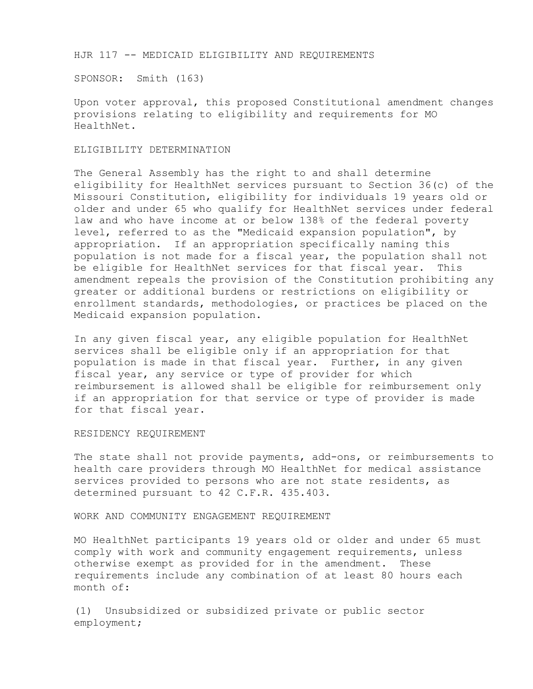HJR 117 -- MEDICAID ELIGIBILITY AND REQUIREMENTS

SPONSOR: Smith (163)

Upon voter approval, this proposed Constitutional amendment changes provisions relating to eligibility and requirements for MO HealthNet.

ELIGIBILITY DETERMINATION

The General Assembly has the right to and shall determine eligibility for HealthNet services pursuant to Section 36(c) of the Missouri Constitution, eligibility for individuals 19 years old or older and under 65 who qualify for HealthNet services under federal law and who have income at or below 138% of the federal poverty level, referred to as the "Medicaid expansion population", by appropriation. If an appropriation specifically naming this population is not made for a fiscal year, the population shall not be eligible for HealthNet services for that fiscal year. This amendment repeals the provision of the Constitution prohibiting any greater or additional burdens or restrictions on eligibility or enrollment standards, methodologies, or practices be placed on the Medicaid expansion population.

In any given fiscal year, any eligible population for HealthNet services shall be eligible only if an appropriation for that population is made in that fiscal year. Further, in any given fiscal year, any service or type of provider for which reimbursement is allowed shall be eligible for reimbursement only if an appropriation for that service or type of provider is made for that fiscal year.

RESIDENCY REQUIREMENT

The state shall not provide payments, add-ons, or reimbursements to health care providers through MO HealthNet for medical assistance services provided to persons who are not state residents, as determined pursuant to 42 C.F.R. 435.403.

## WORK AND COMMUNITY ENGAGEMENT REQUIREMENT

MO HealthNet participants 19 years old or older and under 65 must comply with work and community engagement requirements, unless otherwise exempt as provided for in the amendment. These requirements include any combination of at least 80 hours each month of:

(1) Unsubsidized or subsidized private or public sector employment;